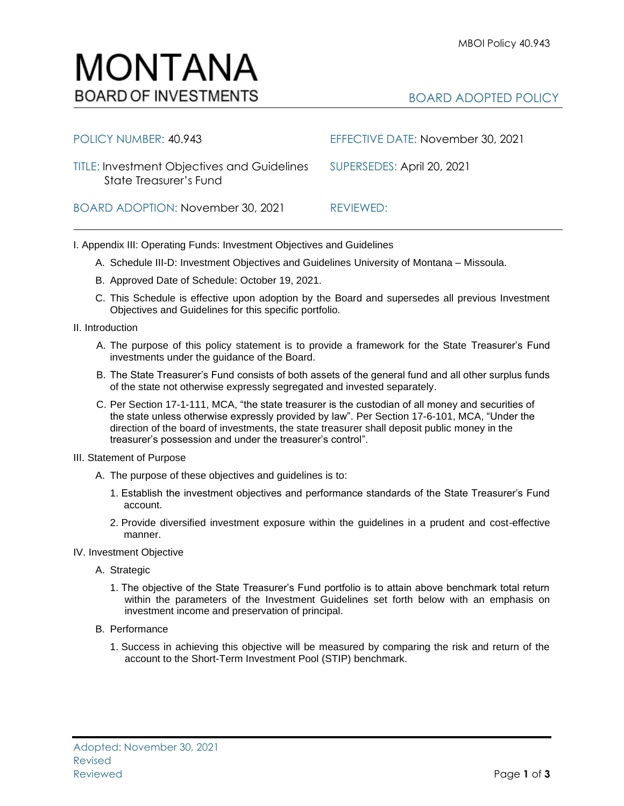## MONTANA **BOARD OF INVESTMENTS**

## BOARD ADOPTED POLICY

| POLICY NUMBER: 40.943                                                                            | EFFECTIVE DATE: November 30, 2021 |
|--------------------------------------------------------------------------------------------------|-----------------------------------|
| TITLE: Investment Objectives and Guidelines SUPERSEDES: April 20, 2021<br>State Treasurer's Fund |                                   |
| BOARD ADOPTION: November 30, 2021                                                                | REVIEWED:                         |

I. Appendix III: Operating Funds: Investment Objectives and Guidelines

- A. Schedule III-D: Investment Objectives and Guidelines University of Montana Missoula.
- B. Approved Date of Schedule: October 19, 2021.
- C. This Schedule is effective upon adoption by the Board and supersedes all previous Investment Objectives and Guidelines for this specific portfolio*.*
- II. Introduction
	- A. The purpose of this policy statement is to provide a framework for the State Treasurer's Fund investments under the guidance of the Board.
	- B. The State Treasurer's Fund consists of both assets of the general fund and all other surplus funds of the state not otherwise expressly segregated and invested separately.
	- C. Per Section 17-1-111, MCA, "the state treasurer is the custodian of all money and securities of the state unless otherwise expressly provided by law". Per Section 17-6-101, MCA, "Under the direction of the board of investments, the state treasurer shall deposit public money in the treasurer's possession and under the treasurer's control".
- III. Statement of Purpose
	- A. The purpose of these objectives and guidelines is to:
		- 1. Establish the investment objectives and performance standards of the State Treasurer's Fund account.
		- 2. Provide diversified investment exposure within the guidelines in a prudent and cost-effective manner.
- IV. Investment Objective
	- A. Strategic
		- 1. The objective of the State Treasurer's Fund portfolio is to attain above benchmark total return within the parameters of the Investment Guidelines set forth below with an emphasis on investment income and preservation of principal.
	- B. Performance
		- 1. Success in achieving this objective will be measured by comparing the risk and return of the account to the Short-Term Investment Pool (STIP) benchmark.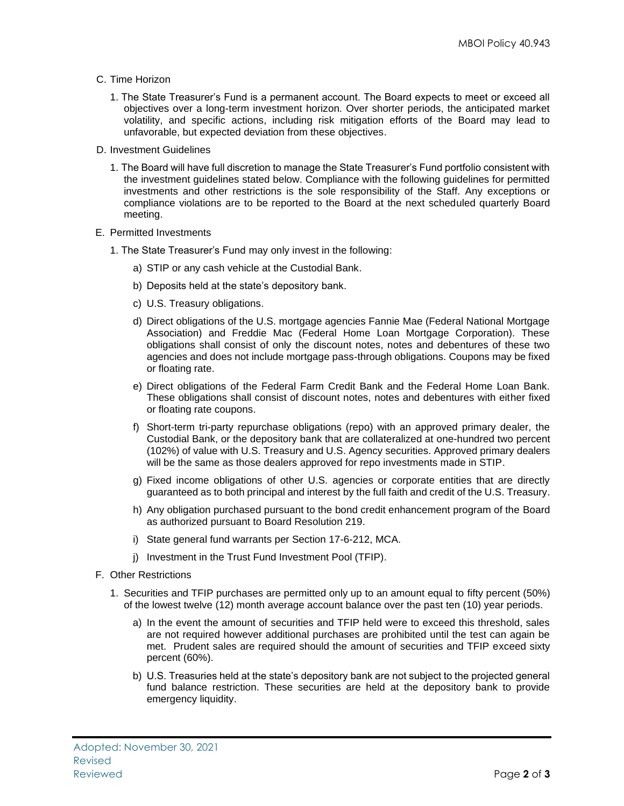- C. Time Horizon
	- 1. The State Treasurer's Fund is a permanent account. The Board expects to meet or exceed all objectives over a long-term investment horizon. Over shorter periods, the anticipated market volatility, and specific actions, including risk mitigation efforts of the Board may lead to unfavorable, but expected deviation from these objectives.
- D. Investment Guidelines
	- 1. The Board will have full discretion to manage the State Treasurer's Fund portfolio consistent with the investment guidelines stated below. Compliance with the following guidelines for permitted investments and other restrictions is the sole responsibility of the Staff. Any exceptions or compliance violations are to be reported to the Board at the next scheduled quarterly Board meeting.
- E. Permitted Investments
	- 1. The State Treasurer's Fund may only invest in the following:
		- a) STIP or any cash vehicle at the Custodial Bank.
		- b) Deposits held at the state's depository bank.
		- c) U.S. Treasury obligations.
		- d) Direct obligations of the U.S. mortgage agencies Fannie Mae (Federal National Mortgage Association) and Freddie Mac (Federal Home Loan Mortgage Corporation). These obligations shall consist of only the discount notes, notes and debentures of these two agencies and does not include mortgage pass-through obligations. Coupons may be fixed or floating rate.
		- e) Direct obligations of the Federal Farm Credit Bank and the Federal Home Loan Bank. These obligations shall consist of discount notes, notes and debentures with either fixed or floating rate coupons.
		- f) Short-term tri-party repurchase obligations (repo) with an approved primary dealer, the Custodial Bank, or the depository bank that are collateralized at one-hundred two percent (102%) of value with U.S. Treasury and U.S. Agency securities. Approved primary dealers will be the same as those dealers approved for repo investments made in STIP.
		- g) Fixed income obligations of other U.S. agencies or corporate entities that are directly guaranteed as to both principal and interest by the full faith and credit of the U.S. Treasury.
		- h) Any obligation purchased pursuant to the bond credit enhancement program of the Board as authorized pursuant to Board Resolution 219.
		- i) State general fund warrants per Section 17-6-212, MCA.
		- j) Investment in the Trust Fund Investment Pool (TFIP).
- F. Other Restrictions
	- 1. Securities and TFIP purchases are permitted only up to an amount equal to fifty percent (50%) of the lowest twelve (12) month average account balance over the past ten (10) year periods.
		- a) In the event the amount of securities and TFIP held were to exceed this threshold, sales are not required however additional purchases are prohibited until the test can again be met. Prudent sales are required should the amount of securities and TFIP exceed sixty percent (60%).
		- b) U.S. Treasuries held at the state's depository bank are not subject to the projected general fund balance restriction. These securities are held at the depository bank to provide emergency liquidity.